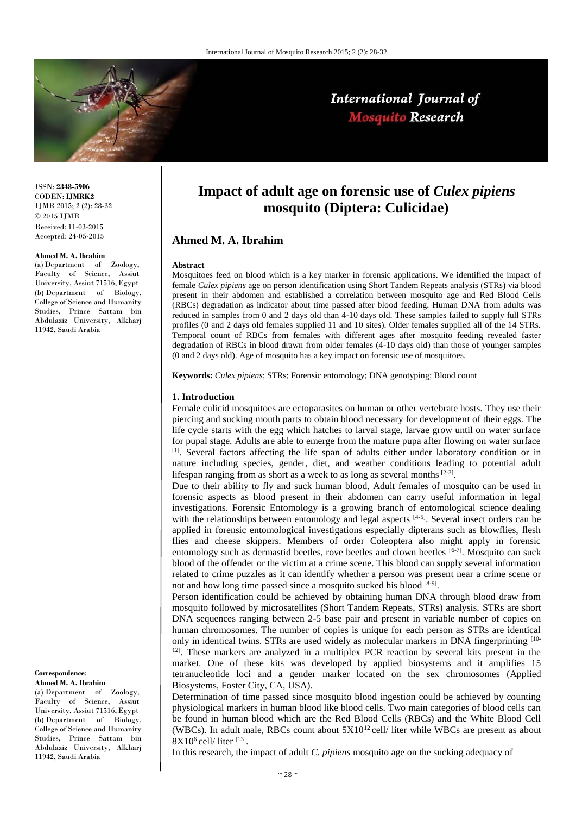

# International Journal of Mosquito Research

ISSN: **2348-5906**  CODEN: **IJMRK2**  IJMR 2015; 2 (2): 28-32  $\odot$  2015 IJMR Received: 11-03-2015 Accepted: 24-05-2015

#### **Ahmed M. A. Ibrahim**

(a) Department of Zoology, Faculty of Science, Assiut University, Assiut 71516,Egypt (b) Department of Biology, College of Science and Humanity Studies, Prince Sattam bin Abdulaziz University, Alkharj 11942, Saudi Arabia

#### **Correspondence**:

**Ahmed M. A. Ibrahim**

(a) Department of Zoology, Faculty of Science, Assiut University, Assiut 71516,Egypt (b) Department of Biology, College of Science and Humanity Studies, Prince Sattam bin Abdulaziz University, Alkharj 11942, Saudi Arabia

# **Impact of adult age on forensic use of** *Culex pipiens* **mosquito (Diptera: Culicidae)**

## **Ahmed M. A. Ibrahim**

#### **Abstract**

Mosquitoes feed on blood which is a key marker in forensic applications. We identified the impact of female *Culex pipiens* age on person identification using Short Tandem Repeats analysis (STRs) via blood present in their abdomen and established a correlation between mosquito age and Red Blood Cells (RBCs) degradation as indicator about time passed after blood feeding. Human DNA from adults was reduced in samples from 0 and 2 days old than 4-10 days old. These samples failed to supply full STRs profiles (0 and 2 days old females supplied 11 and 10 sites). Older females supplied all of the 14 STRs. Temporal count of RBCs from females with different ages after mosquito feeding revealed faster degradation of RBCs in blood drawn from older females (4-10 days old) than those of younger samples (0 and 2 days old). Age of mosquito has a key impact on forensic use of mosquitoes.

**Keywords:** *Culex pipiens*; STRs; Forensic entomology; DNA genotyping; Blood count

#### **1. Introduction**

Female culicid mosquitoes are ectoparasites on human or other vertebrate hosts. They use their piercing and sucking mouth parts to obtain blood necessary for development of their eggs. The life cycle starts with the egg which hatches to larval stage, larvae grow until on water surface for pupal stage. Adults are able to emerge from the mature pupa after flowing on water surface [1]. Several factors affecting the life span of adults either under laboratory condition or in nature including species, gender, diet, and weather conditions leading to potential adult lifespan ranging from as short as a week to as long as several months  $[2-3]$ .

Due to their ability to fly and suck human blood, Adult females of mosquito can be used in forensic aspects as blood present in their abdomen can carry useful information in legal investigations. Forensic Entomology is a growing branch of entomological science dealing with the relationships between entomology and legal aspects  $[4-5]$ . Several insect orders can be applied in forensic entomological investigations especially dipterans such as blowflies, flesh flies and cheese skippers. Members of order Coleoptera also might apply in forensic entomology such as dermastid beetles, rove beetles and clown beetles [6-7]. Mosquito can suck blood of the offender or the victim at a crime scene. This blood can supply several information related to crime puzzles as it can identify whether a person was present near a crime scene or not and how long time passed since a mosquito sucked his blood [8-9].

Person identification could be achieved by obtaining human DNA through blood draw from mosquito followed by microsatellites (Short Tandem Repeats, STRs) analysis. STRs are short DNA sequences ranging between 2-5 base pair and present in variable number of copies on human chromosomes. The number of copies is unique for each person as STRs are identical only in identical twins. STRs are used widely as molecular markers in DNA fingerprinting [10- $12$ . These markers are analyzed in a multiplex PCR reaction by several kits present in the market. One of these kits was developed by applied biosystems and it amplifies 15 tetranucleotide loci and a gender marker located on the sex chromosomes (Applied Biosystems, Foster City, CA, USA).

Determination of time passed since mosquito blood ingestion could be achieved by counting physiological markers in human blood like blood cells. Two main categories of blood cells can be found in human blood which are the Red Blood Cells (RBCs) and the White Blood Cell (WBCs). In adult male, RBCs count about  $5X10^{12}$  cell/ liter while WBCs are present as about  $8X10^6$  cell/ liter [13].

In this research, the impact of adult *C. pipiens* mosquito age on the sucking adequacy of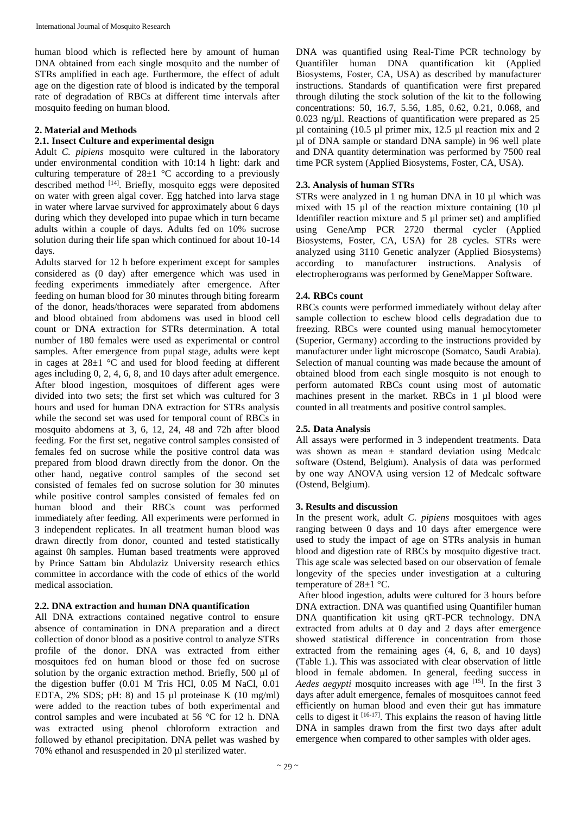human blood which is reflected here by amount of human DNA obtained from each single mosquito and the number of STRs amplified in each age. Furthermore, the effect of adult age on the digestion rate of blood is indicated by the temporal rate of degradation of RBCs at different time intervals after mosquito feeding on human blood.

## **2. Material and Methods**

## **2.1. Insect Culture and experimental design**

Adult *C. pipiens* mosquito were cultured in the laboratory under environmental condition with 10:14 h light: dark and culturing temperature of  $28\pm1$  °C according to a previously described method [14]. Briefly, mosquito eggs were deposited on water with green algal cover. Egg hatched into larva stage in water where larvae survived for approximately about 6 days during which they developed into pupae which in turn became adults within a couple of days. Adults fed on 10% sucrose solution during their life span which continued for about 10-14 days.

Adults starved for 12 h before experiment except for samples considered as (0 day) after emergence which was used in feeding experiments immediately after emergence. After feeding on human blood for 30 minutes through biting forearm of the donor, heads/thoraces were separated from abdomens and blood obtained from abdomens was used in blood cell count or DNA extraction for STRs determination. A total number of 180 females were used as experimental or control samples. After emergence from pupal stage, adults were kept in cages at 28±1 °C and used for blood feeding at different ages including 0, 2, 4, 6, 8, and 10 days after adult emergence. After blood ingestion, mosquitoes of different ages were divided into two sets; the first set which was cultured for 3 hours and used for human DNA extraction for STRs analysis while the second set was used for temporal count of RBCs in mosquito abdomens at 3, 6, 12, 24, 48 and 72h after blood feeding. For the first set, negative control samples consisted of females fed on sucrose while the positive control data was prepared from blood drawn directly from the donor. On the other hand, negative control samples of the second set consisted of females fed on sucrose solution for 30 minutes while positive control samples consisted of females fed on human blood and their RBCs count was performed immediately after feeding. All experiments were performed in 3 independent replicates. In all treatment human blood was drawn directly from donor, counted and tested statistically against 0h samples. Human based treatments were approved by Prince Sattam bin Abdulaziz University research ethics committee in accordance with the code of ethics of the world medical association.

## **2.2. DNA extraction and human DNA quantification**

All DNA extractions contained negative control to ensure absence of contamination in DNA preparation and a direct collection of donor blood as a positive control to analyze STRs profile of the donor. DNA was extracted from either mosquitoes fed on human blood or those fed on sucrose solution by the organic extraction method. Briefly, 500 µl of the digestion buffer (0.01 M Tris HCl, 0.05 M NaCl, 0.01 EDTA,  $2\%$  SDS; pH: 8) and 15 µl proteinase K (10 mg/ml) were added to the reaction tubes of both experimental and control samples and were incubated at 56 °C for 12 h. DNA was extracted using phenol chloroform extraction and followed by ethanol precipitation. DNA pellet was washed by 70% ethanol and resuspended in 20 µl sterilized water.

DNA was quantified using Real-Time PCR technology by Quantifiler human DNA quantification kit (Applied Biosystems, Foster, CA, USA) as described by manufacturer instructions. Standards of quantification were first prepared through diluting the stock solution of the kit to the following concentrations: 50, 16.7, 5.56, 1.85, 0.62, 0.21, 0.068, and 0.023 ng/ $\mu$ l. Reactions of quantification were prepared as 25  $\mu$ l containing (10.5  $\mu$ l primer mix, 12.5  $\mu$ l reaction mix and 2 µl of DNA sample or standard DNA sample) in 96 well plate and DNA quantity determination was performed by 7500 real time PCR system (Applied Biosystems, Foster, CA, USA).

## **2.3. Analysis of human STRs**

STRs were analyzed in 1 ng human DNA in 10 µl which was mixed with 15 µl of the reaction mixture containing (10 µl Identifiler reaction mixture and 5 µl primer set) and amplified using GeneAmp PCR 2720 thermal cycler (Applied Biosystems, Foster, CA, USA) for 28 cycles. STRs were analyzed using 3110 Genetic analyzer (Applied Biosystems) according to manufacturer instructions. Analysis of electropherograms was performed by GeneMapper Software.

## **2.4. RBCs count**

RBCs counts were performed immediately without delay after sample collection to eschew blood cells degradation due to freezing. RBCs were counted using manual hemocytometer (Superior, Germany) according to the instructions provided by manufacturer under light microscope (Somatco, Saudi Arabia). Selection of manual counting was made because the amount of obtained blood from each single mosquito is not enough to perform automated RBCs count using most of automatic machines present in the market. RBCs in 1 µl blood were counted in all treatments and positive control samples.

## **2.5. Data Analysis**

All assays were performed in 3 independent treatments. Data was shown as mean  $\pm$  standard deviation using Medcalc software (Ostend, Belgium). Analysis of data was performed by one way ANOVA using version 12 of Medcalc software (Ostend, Belgium).

## **3. Results and discussion**

In the present work, adult *C. pipiens* mosquitoes with ages ranging between 0 days and 10 days after emergence were used to study the impact of age on STRs analysis in human blood and digestion rate of RBCs by mosquito digestive tract. This age scale was selected based on our observation of female longevity of the species under investigation at a culturing temperature of 28±1 °C.

After blood ingestion, adults were cultured for 3 hours before DNA extraction. DNA was quantified using Quantifiler human DNA quantification kit using qRT-PCR technology. DNA extracted from adults at 0 day and 2 days after emergence showed statistical difference in concentration from those extracted from the remaining ages (4, 6, 8, and 10 days) (Table 1.). This was associated with clear observation of little blood in female abdomen. In general, feeding success in *Aedes aegypti* mosquito increases with age [15]. In the first 3 days after adult emergence, females of mosquitoes cannot feed efficiently on human blood and even their gut has immature cells to digest it  $[16-17]$ . This explains the reason of having little DNA in samples drawn from the first two days after adult emergence when compared to other samples with older ages.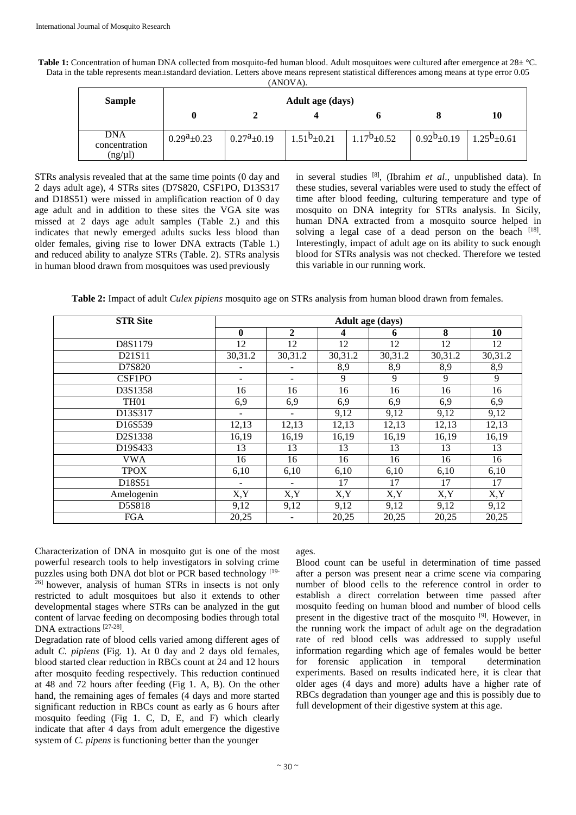| Table 1: Concentration of human DNA collected from mosquito-fed human blood. Adult mosquitoes were cultured after emergence at 28± °C.     |
|--------------------------------------------------------------------------------------------------------------------------------------------|
| Data in the table represents mean±standard deviation. Letters above means represent statistical differences among means at type error 0.05 |
| (ANOVA).                                                                                                                                   |

| <b>Sample</b>                               | <b>Adult age (days)</b>       |                          |                  |                  |                  |                  |  |  |  |
|---------------------------------------------|-------------------------------|--------------------------|------------------|------------------|------------------|------------------|--|--|--|
|                                             |                               |                          |                  |                  |                  | 10               |  |  |  |
| <b>DNA</b><br>concentration<br>$(ng/\mu l)$ | $0.29^{\text{a}}\text{+}0.23$ | $0.27^{\text{a}}\pm0.19$ | $1.51b \pm 0.21$ | $1.17b \pm 0.52$ | $0.92b \pm 0.19$ | $1.25b \pm 0.61$ |  |  |  |

STRs analysis revealed that at the same time points (0 day and 2 days adult age), 4 STRs sites (D7S820, CSF1PO, D13S317 and D18S51) were missed in amplification reaction of 0 day age adult and in addition to these sites the VGA site was missed at 2 days age adult samples (Table 2.) and this indicates that newly emerged adults sucks less blood than older females, giving rise to lower DNA extracts (Table 1.) and reduced ability to analyze STRs (Table. 2). STRs analysis in human blood drawn from mosquitoes was used previously

in several studies [8], (Ibrahim *et al*., unpublished data). In these studies, several variables were used to study the effect of time after blood feeding, culturing temperature and type of mosquito on DNA integrity for STRs analysis. In Sicily, human DNA extracted from a mosquito source helped in solving a legal case of a dead person on the beach [18]. Interestingly, impact of adult age on its ability to suck enough blood for STRs analysis was not checked. Therefore we tested this variable in our running work.

**Table 2:** Impact of adult *Culex pipiens* mosquito age on STRs analysis from human blood drawn from females.

| <b>STR Site</b>  | Adult age (days) |                          |         |                  |         |         |  |
|------------------|------------------|--------------------------|---------|------------------|---------|---------|--|
|                  | $\mathbf{0}$     | $\mathbf{2}$             | 4       | 6                | 8       | 10      |  |
| D8S1179          | 12               | 12                       | 12      | 12               | 12      | 12      |  |
| D21S11           | 30,31.2          | 30,31.2                  | 30,31.2 | 30,31.2          | 30,31.2 | 30,31.2 |  |
| D7S820           |                  |                          | 8,9     | 8,9              | 8,9     | 8,9     |  |
| CSF1PO           |                  |                          | 9       | 9                | 9       | 9       |  |
| D3S1358          | 16               | 16                       | 16      | 16               | 16      | 16      |  |
| TH <sub>01</sub> | 6,9              | 6,9                      | 6,9     | 6,9              | 6,9     | 6,9     |  |
| D13S317          |                  | Ξ.                       | 9,12    | 9,12             | 9,12    | 9,12    |  |
| D16S539          | 12,13            | 12,13                    | 12,13   | 12,13            | 12,13   | 12,13   |  |
| D2S1338          | 16,19            | 16,19                    | 16,19   | 16,19            | 16,19   | 16,19   |  |
| D19S433          | 13               | 13                       | 13      | 13               | 13      | 13      |  |
| <b>VWA</b>       | 16               | 16                       | 16      | 16               | 16      | 16      |  |
| <b>TPOX</b>      | 6,10             | 6,10                     | 6,10    | 6,10             | 6,10    | 6,10    |  |
| D18S51           |                  | $\overline{\phantom{0}}$ | 17      | 17               | 17      | 17      |  |
| Amelogenin       | $\overline{X,Y}$ | $\overline{X,Y}$         | X,Y     | $\overline{X,Y}$ | X, Y    | X,Y     |  |
| D5S818           | 9,12             | 9,12                     | 9,12    | 9,12             | 9,12    | 9,12    |  |
| <b>FGA</b>       | 20,25            |                          | 20,25   | 20,25            | 20,25   | 20,25   |  |

Characterization of DNA in mosquito gut is one of the most powerful research tools to help investigators in solving crime puzzles using both DNA dot blot or PCR based technology [19-26] however, analysis of human STRs in insects is not only restricted to adult mosquitoes but also it extends to other developmental stages where STRs can be analyzed in the gut content of larvae feeding on decomposing bodies through total DNA extractions [27-28].

Degradation rate of blood cells varied among different ages of adult *C. pipiens* (Fig. 1). At 0 day and 2 days old females, blood started clear reduction in RBCs count at 24 and 12 hours after mosquito feeding respectively. This reduction continued at 48 and 72 hours after feeding (Fig 1. A, B). On the other hand, the remaining ages of females (4 days and more started significant reduction in RBCs count as early as 6 hours after mosquito feeding (Fig 1. C, D, E, and F) which clearly indicate that after 4 days from adult emergence the digestive system of *C. pipens* is functioning better than the younger

ages.

Blood count can be useful in determination of time passed after a person was present near a crime scene via comparing number of blood cells to the reference control in order to establish a direct correlation between time passed after mosquito feeding on human blood and number of blood cells present in the digestive tract of the mosquito <sup>[9]</sup>. However, in the running work the impact of adult age on the degradation rate of red blood cells was addressed to supply useful information regarding which age of females would be better for forensic application in temporal determination experiments. Based on results indicated here, it is clear that older ages (4 days and more) adults have a higher rate of RBCs degradation than younger age and this is possibly due to full development of their digestive system at this age.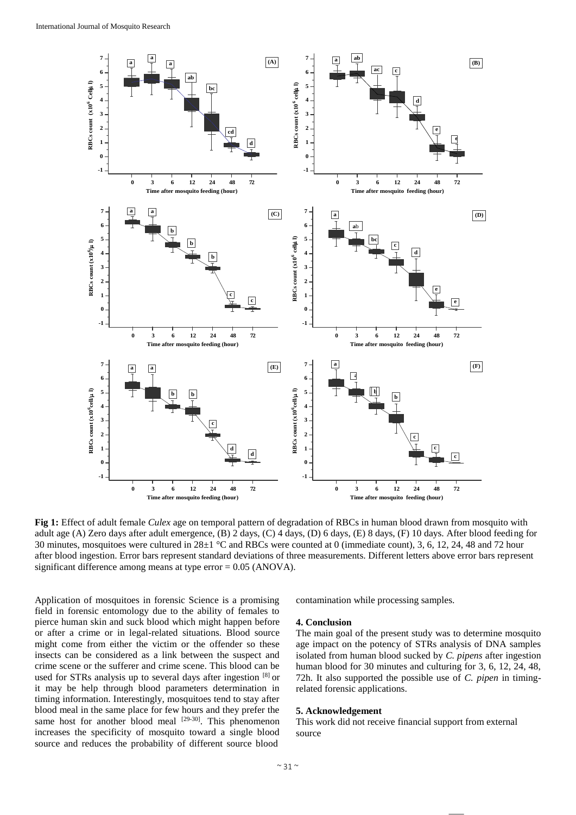

**Fig 1:** Effect of adult female *Culex* age on temporal pattern of degradation of RBCs in human blood drawn from mosquito with adult age (A) Zero days after adult emergence, (B) 2 days, (C) 4 days, (D) 6 days, (E) 8 days, (F) 10 days. After blood feeding for 30 minutes, mosquitoes were cultured in 28±1 °C and RBCs were counted at 0 (immediate count), 3, 6, 12, 24, 48 and 72 hour after blood ingestion. Error bars represent standard deviations of three measurements. Different letters above error bars represent significant difference among means at type error  $= 0.05$  (ANOVA).

Application of mosquitoes in forensic Science is a promising field in forensic entomology due to the ability of females to pierce human skin and suck blood which might happen before or after a crime or in legal-related situations. Blood source might come from either the victim or the offender so these insects can be considered as a link between the suspect and crime scene or the sufferer and crime scene. This blood can be used for STRs analysis up to several days after ingestion [8] or it may be help through blood parameters determination in timing information. Interestingly, mosquitoes tend to stay after blood meal in the same place for few hours and they prefer the same host for another blood meal  $[29-30]$ . This phenomenon increases the specificity of mosquito toward a single blood source and reduces the probability of different source blood

contamination while processing samples.

#### **4. Conclusion**

The main goal of the present study was to determine mosquito age impact on the potency of STRs analysis of DNA samples isolated from human blood sucked by *C. pipens* after ingestion human blood for 30 minutes and culturing for 3, 6, 12, 24, 48, 72h. It also supported the possible use of *C. pipen* in timingrelated forensic applications.

#### **5. Acknowledgement**

This work did not receive financial support from external source